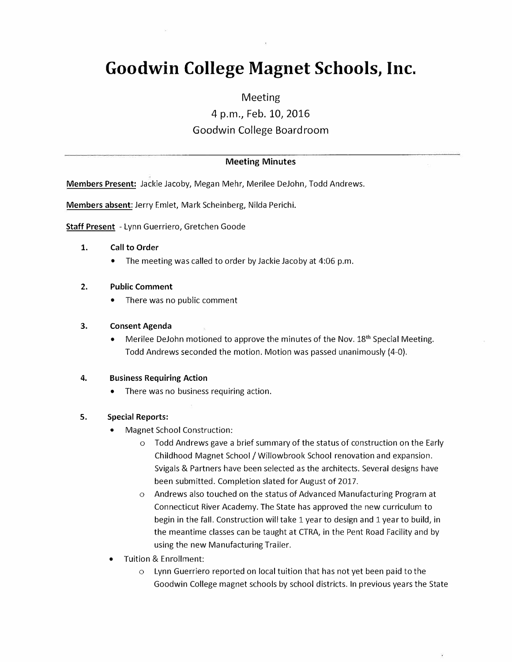# **Goodwin College Magnet Schools, Inc.**

## Meeting

4 p.m., Feb. 10, 2016

# Goodwin College Boardroom

#### Meeting Minutes

Members Present: Jackie Jacoby, Megan Mehr, Merilee DeJohn, Todd Andrews.

Members absent: Jerry Emlet, Mark Scheinberg, Nilda Perichi.

Staff Present - Lynn Guerriero, Gretchen Goode

#### 1. Call to Order

• The meeting was called to order by Jackie Jacoby at 4:06 p.m.

#### 2. Public Comment

There was no public comment

#### 3. Consent Agenda

• Merilee DeJohn motioned to approve the minutes of the Nov.  $18<sup>th</sup>$  Special Meeting. Todd Andrews seconded the motion. Motion was passed unanimously (4-0).

#### 4. Business Requiring Action

• There was no business requiring action.

#### 5. Special Reports:

- Magnet School Construction:
	- o Todd Andrews gave a brief summary of the status of construction on the Early Childhood Magnet School/ Willowbrook School renovation and expansion. Svigals & Partners have been selected as the architects. Several designs have been submitted. Completion slated for August of 2017.
	- o Andrews also touched on the status of Advanced Manufacturing Program at Connecticut River Academy. The State has approved the new curriculum to begin in the fall. Construction will take 1 year to design and 1 year to build, in the meantime classes can be taught at CTRA, in the Pent Road Facility and by using the new Manufacturing Trailer.
- Tuition & Enrollment:
	- o Lynn Guerriero reported on local tuition that has not yet been paid to the Goodwin College magnet schools by school districts. In previous years the State